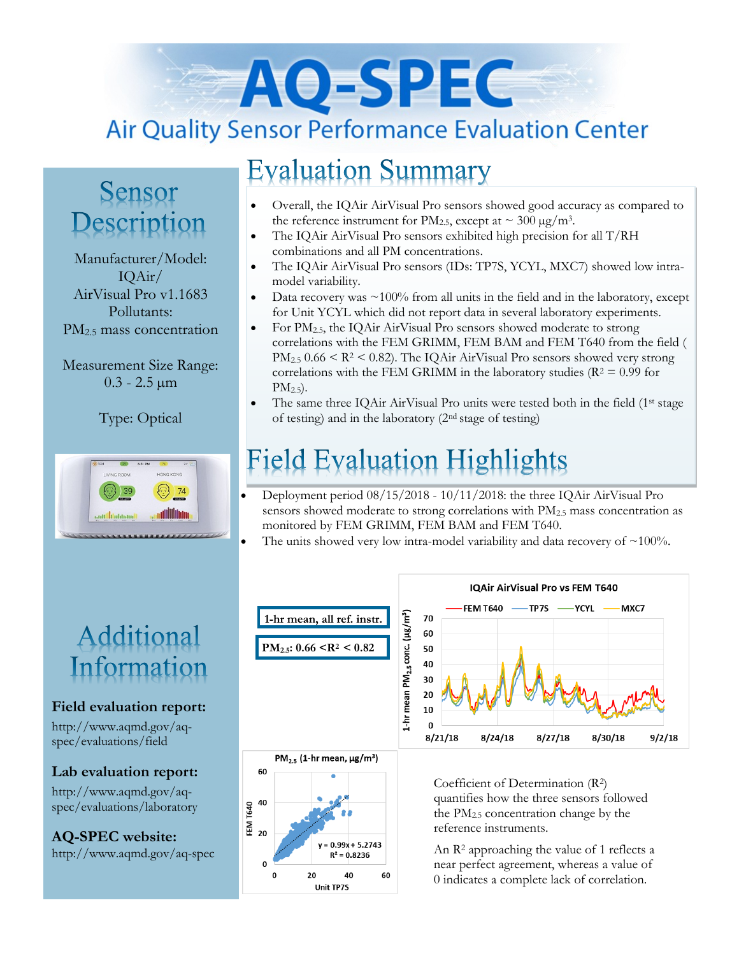# AO-SPEC **Air Quality Sensor Performance Evaluation Center**

### Sensor Description

Manufacturer/Model: IQAir/ AirVisual Pro v1.1683 Pollutants: PM<sub>2.5</sub> mass concentration

Measurement Size Range:  $0.3 - 2.5 \,\mu m$ 

Type: Optical



### Additional Information

#### **Field evaluation report:**

http://www.aqmd.gov/aqspec/evaluations/field

#### **Lab evaluation report:**

60

EM T640<br>EM T640<br>20 40

 $\pmb{0}$ 

 $y = 0.99x + 5.2743$  $R^2 = 0.8236$ 

40

**Unit TP7S** 

60

 $20$ 

http://www.aqmd.gov/aqspec/evaluations/laboratory

**AQ-SPEC website:**  http://www.aqmd.gov/aq-spec

### **Evaluation Summary**

- Overall, the IQAir AirVisual Pro sensors showed good accuracy as compared to the reference instrument for PM<sub>2.5</sub>, except at  $\sim 300 \,\mu g/m^3$ .
- The IQAir AirVisual Pro sensors exhibited high precision for all T/RH combinations and all PM concentrations.
- The IQAir AirVisual Pro sensors (IDs: TP7S, YCYL, MXC7) showed low intramodel variability.
- Data recovery was  $\sim$  100% from all units in the field and in the laboratory, except for Unit YCYL which did not report data in several laboratory experiments.
- For  $PM_{2.5}$ , the IQAir AirVisual Pro sensors showed moderate to strong correlations with the FEM GRIMM, FEM BAM and FEM T640 from the field (  $PM_{2.5}$  0.66 <  $R^2$  < 0.82). The IQAir AirVisual Pro sensors showed very strong correlations with the FEM GRIMM in the laboratory studies ( $R^2 = 0.99$  for  $PM_{2.5}$ ).
- The same three IQAir AirVisual Pro units were tested both in the field (1st stage of testing) and in the laboratory (2nd stage of testing)

## **Field Evaluation Highlights**

- Deployment period 08/15/2018 10/11/2018: the three IQAir AirVisual Pro sensors showed moderate to strong correlations with PM2.5 mass concentration as monitored by FEM GRIMM, FEM BAM and FEM T640.
- The units showed very low intra-model variability and data recovery of  $\sim$ 100%.



quantifies how the three sensors followed the PM2.5 concentration change by the reference instruments.

An R<sup>2</sup> approaching the value of 1 reflects a near perfect agreement, whereas a value of 0 indicates a complete lack of correlation.